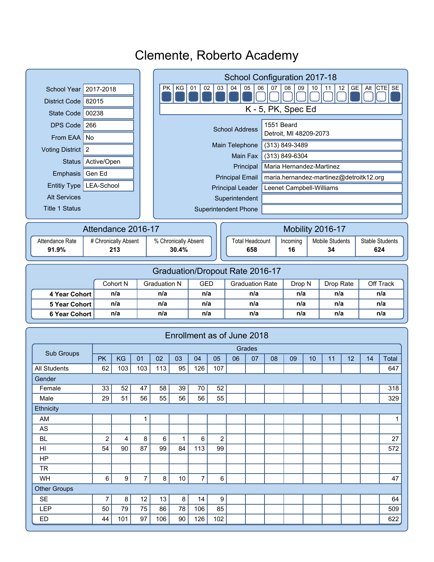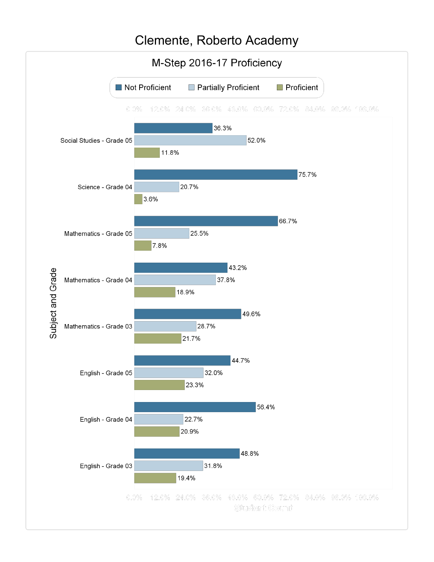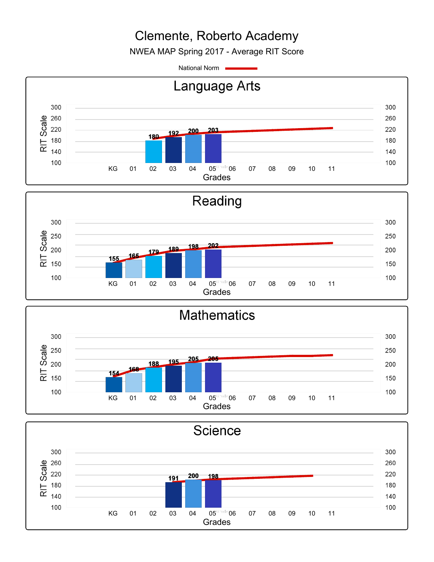NWEA MAP Spring 2017 - Average RIT Score

National Norm